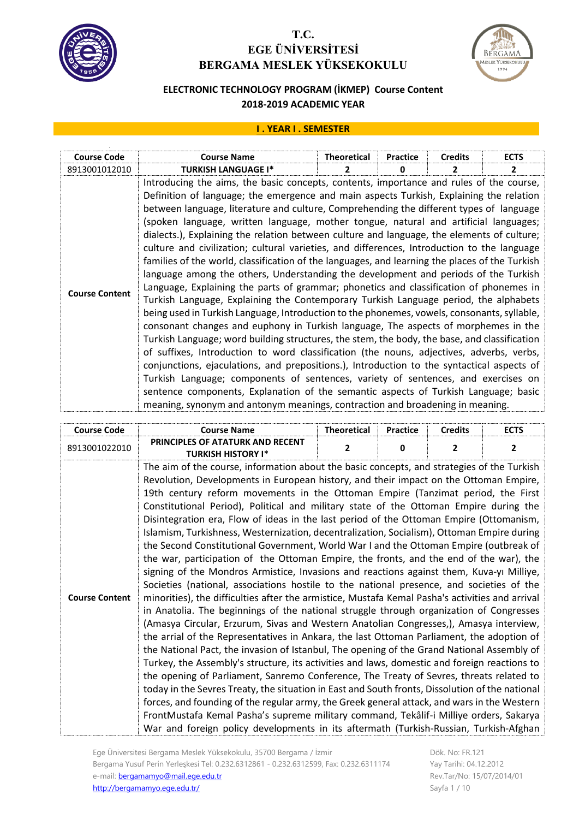



### **ELECTRONIC TECHNOLOGY PROGRAM (İKMEP) Course Content 2018-2019 ACADEMIC YEAR**

#### **I . YEAR I . SEMESTER**

| <b>Course Code</b>    | <b>Course Name</b>                                                                                                                                                                                                                                                                                                                                                                                                                                                                                                                                                                                                                                                                                                                                                                                                                                                                                                                                                                                                                                                                                                                                                                                                                                                                                                                                                                                                                                                                                                                                                                                                                                                                        | <b>Theoretical</b> | <b>Practice</b> | <b>Credits</b> | <b>ECTS</b>  |
|-----------------------|-------------------------------------------------------------------------------------------------------------------------------------------------------------------------------------------------------------------------------------------------------------------------------------------------------------------------------------------------------------------------------------------------------------------------------------------------------------------------------------------------------------------------------------------------------------------------------------------------------------------------------------------------------------------------------------------------------------------------------------------------------------------------------------------------------------------------------------------------------------------------------------------------------------------------------------------------------------------------------------------------------------------------------------------------------------------------------------------------------------------------------------------------------------------------------------------------------------------------------------------------------------------------------------------------------------------------------------------------------------------------------------------------------------------------------------------------------------------------------------------------------------------------------------------------------------------------------------------------------------------------------------------------------------------------------------------|--------------------|-----------------|----------------|--------------|
| 8913001012010         | <b>TURKISH LANGUAGE I*</b>                                                                                                                                                                                                                                                                                                                                                                                                                                                                                                                                                                                                                                                                                                                                                                                                                                                                                                                                                                                                                                                                                                                                                                                                                                                                                                                                                                                                                                                                                                                                                                                                                                                                | 2                  | 0               | 2              | $\mathbf{2}$ |
| <b>Course Content</b> | Introducing the aims, the basic concepts, contents, importance and rules of the course,<br>Definition of language; the emergence and main aspects Turkish, Explaining the relation<br>between language, literature and culture, Comprehending the different types of language<br>(spoken language, written language, mother tongue, natural and artificial languages;<br>dialects.), Explaining the relation between culture and language, the elements of culture;<br>culture and civilization; cultural varieties, and differences, Introduction to the language<br>families of the world, classification of the languages, and learning the places of the Turkish<br>language among the others, Understanding the development and periods of the Turkish<br>Language, Explaining the parts of grammar; phonetics and classification of phonemes in<br>Turkish Language, Explaining the Contemporary Turkish Language period, the alphabets<br>being used in Turkish Language, Introduction to the phonemes, vowels, consonants, syllable,<br>consonant changes and euphony in Turkish language, The aspects of morphemes in the<br>Turkish Language; word building structures, the stem, the body, the base, and classification<br>of suffixes, Introduction to word classification (the nouns, adjectives, adverbs, verbs,<br>conjunctions, ejaculations, and prepositions.), Introduction to the syntactical aspects of<br>Turkish Language; components of sentences, variety of sentences, and exercises on<br>sentence components, Explanation of the semantic aspects of Turkish Language; basic<br>meaning, synonym and antonym meanings, contraction and broadening in meaning. |                    |                 |                |              |

| <b>Course Code</b>    | <b>Course Name</b>                                                                                                                                                                                                                                                                                                                                                                                                                                                                                                                                                                                                                                                                                                                                                                                                                                                                                                                                                                                                                                                                                                                                                                                                                                                                                                                                                                                                                                                                                                                                                                                                                                                                                                                                                                                                                                                                                                                                                                                     | <b>Theoretical</b> | <b>Practice</b> | <b>Credits</b> | <b>ECTS</b> |
|-----------------------|--------------------------------------------------------------------------------------------------------------------------------------------------------------------------------------------------------------------------------------------------------------------------------------------------------------------------------------------------------------------------------------------------------------------------------------------------------------------------------------------------------------------------------------------------------------------------------------------------------------------------------------------------------------------------------------------------------------------------------------------------------------------------------------------------------------------------------------------------------------------------------------------------------------------------------------------------------------------------------------------------------------------------------------------------------------------------------------------------------------------------------------------------------------------------------------------------------------------------------------------------------------------------------------------------------------------------------------------------------------------------------------------------------------------------------------------------------------------------------------------------------------------------------------------------------------------------------------------------------------------------------------------------------------------------------------------------------------------------------------------------------------------------------------------------------------------------------------------------------------------------------------------------------------------------------------------------------------------------------------------------------|--------------------|-----------------|----------------|-------------|
| 8913001022010         | PRINCIPLES OF ATATURK AND RECENT<br><b>TURKISH HISTORY I*</b>                                                                                                                                                                                                                                                                                                                                                                                                                                                                                                                                                                                                                                                                                                                                                                                                                                                                                                                                                                                                                                                                                                                                                                                                                                                                                                                                                                                                                                                                                                                                                                                                                                                                                                                                                                                                                                                                                                                                          | 2                  | 0               | $\overline{2}$ | 2           |
| <b>Course Content</b> | The aim of the course, information about the basic concepts, and strategies of the Turkish<br>Revolution, Developments in European history, and their impact on the Ottoman Empire,<br>19th century reform movements in the Ottoman Empire (Tanzimat period, the First<br>Constitutional Period), Political and military state of the Ottoman Empire during the<br>Disintegration era, Flow of ideas in the last period of the Ottoman Empire (Ottomanism,<br>Islamism, Turkishness, Westernization, decentralization, Socialism), Ottoman Empire during<br>the Second Constitutional Government, World War I and the Ottoman Empire (outbreak of<br>the war, participation of the Ottoman Empire, the fronts, and the end of the war), the<br>signing of the Mondros Armistice, Invasions and reactions against them, Kuva-yı Milliye,<br>Societies (national, associations hostile to the national presence, and societies of the<br>minorities), the difficulties after the armistice, Mustafa Kemal Pasha's activities and arrival<br>in Anatolia. The beginnings of the national struggle through organization of Congresses<br>(Amasya Circular, Erzurum, Sivas and Western Anatolian Congresses,), Amasya interview,<br>the arrial of the Representatives in Ankara, the last Ottoman Parliament, the adoption of<br>the National Pact, the invasion of Istanbul, The opening of the Grand National Assembly of<br>Turkey, the Assembly's structure, its activities and laws, domestic and foreign reactions to<br>the opening of Parliament, Sanremo Conference, The Treaty of Sevres, threats related to<br>today in the Sevres Treaty, the situation in East and South fronts, Dissolution of the national<br>forces, and founding of the regular army, the Greek general attack, and wars in the Western<br>FrontMustafa Kemal Pasha's supreme military command, Tekâlif-i Milliye orders, Sakarya<br>War and foreign policy developments in its aftermath (Turkish-Russian, Turkish-Afghan |                    |                 |                |             |

Dök. No: FR.121 Yay Tarihi: 04.12.2012 Rev.Tar/No: 15/07/2014/01 Sayfa 1 / 10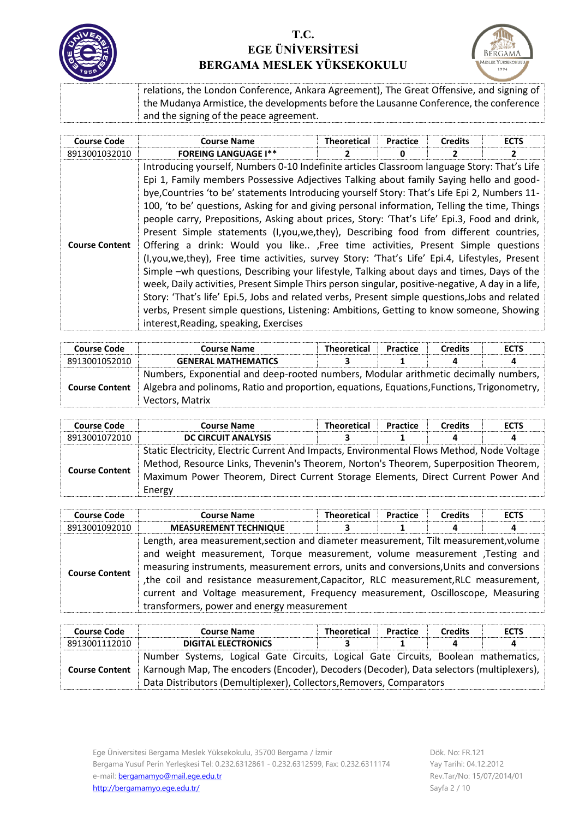



relations, the London Conference, Ankara Agreement), The Great Offensive, and signing of the Mudanya Armistice, the developments before the Lausanne Conference, the conference and the signing of the peace agreement.

| <b>Course Code</b>    | <b>Course Name</b>                                                                                                                                                                                                                                                                                                                                                                                                                                                                                                                                                                                                                                                                                                                                                                                                                                                                                                                                                                                                                                                                                                                                                                                                    | <b>Theoretical</b> | <b>Practice</b> | <b>Credits</b> | <b>ECTS</b> |
|-----------------------|-----------------------------------------------------------------------------------------------------------------------------------------------------------------------------------------------------------------------------------------------------------------------------------------------------------------------------------------------------------------------------------------------------------------------------------------------------------------------------------------------------------------------------------------------------------------------------------------------------------------------------------------------------------------------------------------------------------------------------------------------------------------------------------------------------------------------------------------------------------------------------------------------------------------------------------------------------------------------------------------------------------------------------------------------------------------------------------------------------------------------------------------------------------------------------------------------------------------------|--------------------|-----------------|----------------|-------------|
| 8913001032010         | <b>FOREING LANGUAGE I**</b>                                                                                                                                                                                                                                                                                                                                                                                                                                                                                                                                                                                                                                                                                                                                                                                                                                                                                                                                                                                                                                                                                                                                                                                           |                    | o               |                |             |
| <b>Course Content</b> | Introducing yourself, Numbers 0-10 Indefinite articles Classroom language Story: That's Life<br>Epi 1, Family members Possessive Adjectives Talking about family Saying hello and good-<br>bye, Countries 'to be' statements Introducing yourself Story: That's Life Epi 2, Numbers 11-<br>100, 'to be' questions, Asking for and giving personal information, Telling the time, Things<br>people carry, Prepositions, Asking about prices, Story: 'That's Life' Epi.3, Food and drink,<br>Present Simple statements (I, you, we, they), Describing food from different countries,<br>Offering a drink: Would you like , Free time activities, Present Simple questions<br>(I, you, we, they), Free time activities, survey Story: 'That's Life' Epi.4, Lifestyles, Present<br>Simple -wh questions, Describing your lifestyle, Talking about days and times, Days of the<br>week, Daily activities, Present Simple Thirs person singular, positive-negative, A day in a life,<br>Story: 'That's life' Epi.5, Jobs and related verbs, Present simple questions, Jobs and related<br>verbs, Present simple questions, Listening: Ambitions, Getting to know someone, Showing<br>interest, Reading, speaking, Exercises |                    |                 |                |             |

| <b>Course Code</b>    | <b>Course Name</b>                                                                                                                                                                                   | <b>Theoretical</b> | <b>Practice</b> | <b>Credits</b> | <b>ECTS</b> |
|-----------------------|------------------------------------------------------------------------------------------------------------------------------------------------------------------------------------------------------|--------------------|-----------------|----------------|-------------|
| 8913001052010         | <b>GENERAL MATHEMATICS</b>                                                                                                                                                                           |                    |                 |                | 4           |
| <b>Course Content</b> | Numbers, Exponential and deep-rooted numbers, Modular arithmetic decimally numbers,<br>Algebra and polinoms, Ratio and proportion, equations, Equations, Functions, Trigonometry,<br>Vectors, Matrix |                    |                 |                |             |

| <b>Course Code</b>    | <b>Course Name</b>                                                                                                                                                                                                                                                               | <b>Theoretical</b> | Practice | <b>Credits</b> | <b>ECTS</b> |
|-----------------------|----------------------------------------------------------------------------------------------------------------------------------------------------------------------------------------------------------------------------------------------------------------------------------|--------------------|----------|----------------|-------------|
| 8913001072010         | <b>DC CIRCUIT ANALYSIS</b>                                                                                                                                                                                                                                                       |                    |          | 4              | 4           |
| <b>Course Content</b> | Static Electricity, Electric Current And Impacts, Environmental Flows Method, Node Voltage<br>Method, Resource Links, Thevenin's Theorem, Norton's Theorem, Superposition Theorem,<br>Maximum Power Theorem, Direct Current Storage Elements, Direct Current Power And<br>Energy |                    |          |                |             |

| <b>Course Code</b>    | <b>Course Name</b>                                                                                                                                                                                                                                                                                                                                                                                                                                                                      | <b>Theoretical</b> | Practice | <b>Credits</b> | <b>ECTS</b> |
|-----------------------|-----------------------------------------------------------------------------------------------------------------------------------------------------------------------------------------------------------------------------------------------------------------------------------------------------------------------------------------------------------------------------------------------------------------------------------------------------------------------------------------|--------------------|----------|----------------|-------------|
| 8913001092010         | <b>MEASUREMENT TECHNIQUE</b>                                                                                                                                                                                                                                                                                                                                                                                                                                                            |                    |          | д              | 4           |
| <b>Course Content</b> | Length, area measurement, section and diameter measurement, Tilt measurement, volume<br>and weight measurement, Torque measurement, volume measurement , Testing and<br>measuring instruments, measurement errors, units and conversions, Units and conversions<br>, the coil and resistance measurement, Capacitor, RLC measurement, RLC measurement,<br>current and Voltage measurement, Frequency measurement, Oscilloscope, Measuring<br>transformers, power and energy measurement |                    |          |                |             |

| <b>Course Code</b>    | <b>Course Name</b>                                                                                                                                               | <b>Theoretical</b> | <b>Practice</b> | <b>Credits</b> | <b>ECTS</b> |  |
|-----------------------|------------------------------------------------------------------------------------------------------------------------------------------------------------------|--------------------|-----------------|----------------|-------------|--|
| 8913001112010         | <b>DIGITAL ELECTRONICS</b>                                                                                                                                       |                    |                 |                | 4           |  |
| <b>Course Content</b> | Number Systems, Logical Gate Circuits, Logical Gate Circuits, Boolean mathematics,                                                                               |                    |                 |                |             |  |
|                       | Karnough Map, The encoders (Encoder), Decoders (Decoder), Data selectors (multiplexers),<br>Data Distributors (Demultiplexer), Collectors, Removers, Comparators |                    |                 |                |             |  |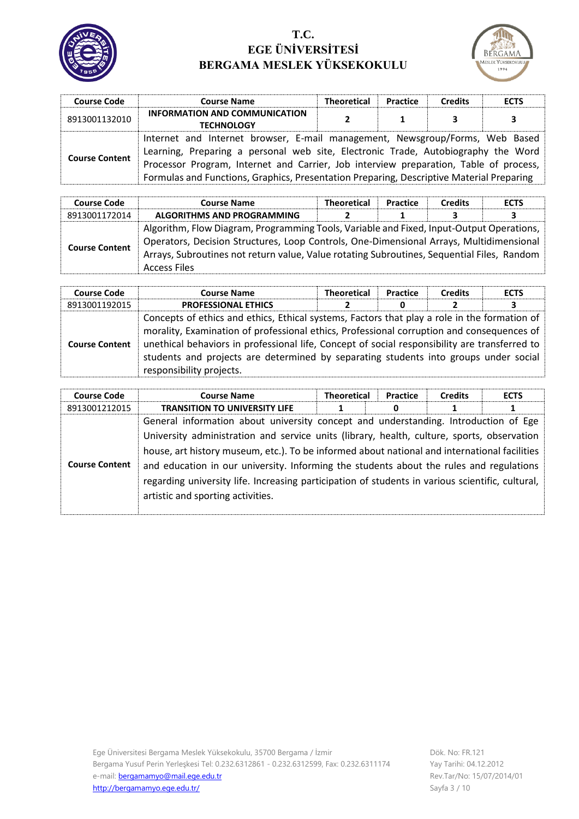



| <b>Course Code</b>    | <b>Course Name</b>                                                                                                                                                                                                                                                                                                                                     | <b>Theoretical</b> | Practice | <b>Credits</b> | <b>ECTS</b> |
|-----------------------|--------------------------------------------------------------------------------------------------------------------------------------------------------------------------------------------------------------------------------------------------------------------------------------------------------------------------------------------------------|--------------------|----------|----------------|-------------|
| 8913001132010         | <b>INFORMATION AND COMMUNICATION</b><br><b>TECHNOLOGY</b>                                                                                                                                                                                                                                                                                              | Σ.                 |          | 3              | 3           |
| <b>Course Content</b> | Internet and Internet browser, E-mail management, Newsgroup/Forms, Web Based<br>Learning, Preparing a personal web site, Electronic Trade, Autobiography the Word<br>Processor Program, Internet and Carrier, Job interview preparation, Table of process,<br>Formulas and Functions, Graphics, Presentation Preparing, Descriptive Material Preparing |                    |          |                |             |

| <b>Course Code</b>    | <b>Course Name</b>                                                                                                                                                                                                                                                                                       | <b>Theoretical</b> | Practice | <b>Credits</b> | <b>ECTS</b> |
|-----------------------|----------------------------------------------------------------------------------------------------------------------------------------------------------------------------------------------------------------------------------------------------------------------------------------------------------|--------------------|----------|----------------|-------------|
| 8913001172014         | ALGORITHMS AND PROGRAMMING                                                                                                                                                                                                                                                                               |                    |          |                | 3           |
| <b>Course Content</b> | Algorithm, Flow Diagram, Programming Tools, Variable and Fixed, Input-Output Operations,<br>Operators, Decision Structures, Loop Controls, One-Dimensional Arrays, Multidimensional<br>Arrays, Subroutines not return value, Value rotating Subroutines, Sequential Files, Random<br><b>Access Files</b> |                    |          |                |             |

| <b>Course Code</b>    | <b>Course Name</b>                                                                                                                                                                                                                                                                                                                                                                                             | <b>Theoretical</b> | Practice | <b>Credits</b> | <b>ECTS</b> |
|-----------------------|----------------------------------------------------------------------------------------------------------------------------------------------------------------------------------------------------------------------------------------------------------------------------------------------------------------------------------------------------------------------------------------------------------------|--------------------|----------|----------------|-------------|
| 8913001192015         | <b>PROFESSIONAL ETHICS</b>                                                                                                                                                                                                                                                                                                                                                                                     |                    | 0        |                | з           |
| <b>Course Content</b> | Concepts of ethics and ethics, Ethical systems, Factors that play a role in the formation of<br>morality, Examination of professional ethics, Professional corruption and consequences of<br>unethical behaviors in professional life, Concept of social responsibility are transferred to<br>students and projects are determined by separating students into groups under social<br>responsibility projects. |                    |          |                |             |

| <b>Course Code</b>    | <b>Course Name</b>                                                                               | <b>Theoretical</b> | Practice | <b>Credits</b> | <b>ECTS</b> |
|-----------------------|--------------------------------------------------------------------------------------------------|--------------------|----------|----------------|-------------|
| 8913001212015         | <b>TRANSITION TO UNIVERSITY LIFE</b>                                                             |                    | 0        |                |             |
|                       | General information about university concept and understanding. Introduction of Ege              |                    |          |                |             |
|                       | University administration and service units (library, health, culture, sports, observation       |                    |          |                |             |
|                       | house, art history museum, etc.). To be informed about national and international facilities     |                    |          |                |             |
| <b>Course Content</b> | and education in our university. Informing the students about the rules and regulations          |                    |          |                |             |
|                       | regarding university life. Increasing participation of students in various scientific, cultural, |                    |          |                |             |
|                       | artistic and sporting activities.                                                                |                    |          |                |             |
|                       |                                                                                                  |                    |          |                |             |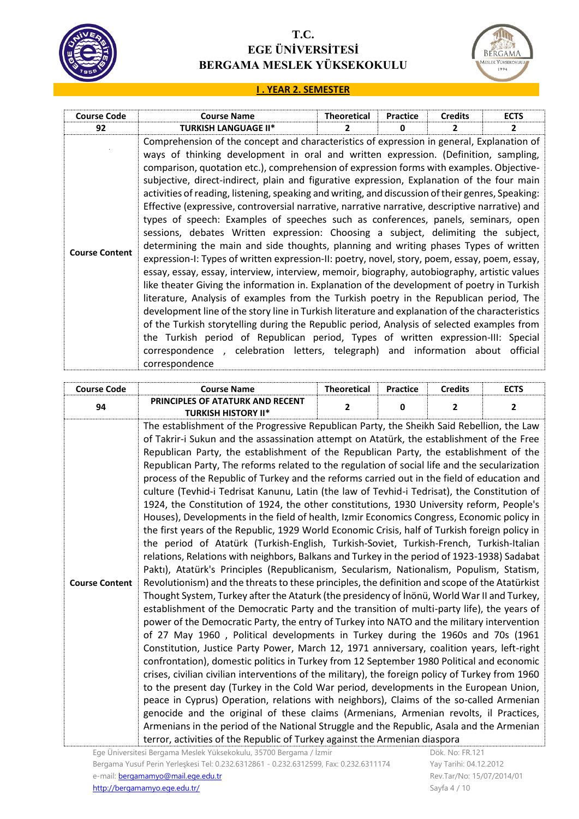



#### **I . YEAR 2. SEMESTER**

| <b>Course Code</b>    | <b>Course Name</b>                                                                                                                                                                                                                                                                                                                                                                                                                                                                                                                                                                                                                                                                                                                                                                                                                                                                                                                                                                                                                                                                                                                                                                                                                                                                                                                                                                                                                                                                                                                                                                                                              | <b>Theoretical</b>       | <b>Practice</b> | <b>Credits</b> | <b>ECTS</b>  |
|-----------------------|---------------------------------------------------------------------------------------------------------------------------------------------------------------------------------------------------------------------------------------------------------------------------------------------------------------------------------------------------------------------------------------------------------------------------------------------------------------------------------------------------------------------------------------------------------------------------------------------------------------------------------------------------------------------------------------------------------------------------------------------------------------------------------------------------------------------------------------------------------------------------------------------------------------------------------------------------------------------------------------------------------------------------------------------------------------------------------------------------------------------------------------------------------------------------------------------------------------------------------------------------------------------------------------------------------------------------------------------------------------------------------------------------------------------------------------------------------------------------------------------------------------------------------------------------------------------------------------------------------------------------------|--------------------------|-----------------|----------------|--------------|
| 92                    | <b>TURKISH LANGUAGE II*</b>                                                                                                                                                                                                                                                                                                                                                                                                                                                                                                                                                                                                                                                                                                                                                                                                                                                                                                                                                                                                                                                                                                                                                                                                                                                                                                                                                                                                                                                                                                                                                                                                     | $\overline{\phantom{a}}$ | o               | 2              | $\mathbf{2}$ |
| <b>Course Content</b> | Comprehension of the concept and characteristics of expression in general, Explanation of<br>ways of thinking development in oral and written expression. (Definition, sampling,<br>comparison, quotation etc.), comprehension of expression forms with examples. Objective-<br>subjective, direct-indirect, plain and figurative expression, Explanation of the four main<br>activities of reading, listening, speaking and writing, and discussion of their genres, Speaking:<br>Effective (expressive, controversial narrative, narrative narrative, descriptive narrative) and<br>types of speech: Examples of speeches such as conferences, panels, seminars, open<br>sessions, debates Written expression: Choosing a subject, delimiting the subject,<br>determining the main and side thoughts, planning and writing phases Types of written<br>expression-I: Types of written expression-II: poetry, novel, story, poem, essay, poem, essay,<br>essay, essay, essay, interview, interview, memoir, biography, autobiography, artistic values<br>like theater Giving the information in. Explanation of the development of poetry in Turkish<br>literature, Analysis of examples from the Turkish poetry in the Republican period, The<br>development line of the story line in Turkish literature and explanation of the characteristics<br>of the Turkish storytelling during the Republic period, Analysis of selected examples from<br>the Turkish period of Republican period, Types of written expression-III: Special<br>correspondence, celebration letters, telegraph) and information about<br>correspondence |                          |                 |                | official     |

| <b>Course Code</b>    | <b>Course Name</b>                                                                                                                                                                                                                                                                                                                                                                                                                                                                                                                                                                                                                                                                                                                                                                                                                                                                                                                                                                                                                                                                                                                                                                                                                                                                                                                                                                                                                                                                                                                                                                                                                                                                                                                                                                                                                                                                                                                                                                                                                                                                                                                                                                                                                                                                                                                                                                                          | <b>Theoretical</b> | <b>Practice</b> | <b>Credits</b> | <b>ECTS</b>    |
|-----------------------|-------------------------------------------------------------------------------------------------------------------------------------------------------------------------------------------------------------------------------------------------------------------------------------------------------------------------------------------------------------------------------------------------------------------------------------------------------------------------------------------------------------------------------------------------------------------------------------------------------------------------------------------------------------------------------------------------------------------------------------------------------------------------------------------------------------------------------------------------------------------------------------------------------------------------------------------------------------------------------------------------------------------------------------------------------------------------------------------------------------------------------------------------------------------------------------------------------------------------------------------------------------------------------------------------------------------------------------------------------------------------------------------------------------------------------------------------------------------------------------------------------------------------------------------------------------------------------------------------------------------------------------------------------------------------------------------------------------------------------------------------------------------------------------------------------------------------------------------------------------------------------------------------------------------------------------------------------------------------------------------------------------------------------------------------------------------------------------------------------------------------------------------------------------------------------------------------------------------------------------------------------------------------------------------------------------------------------------------------------------------------------------------------------------|--------------------|-----------------|----------------|----------------|
| 94                    | PRINCIPLES OF ATATURK AND RECENT<br><b>TURKISH HISTORY II*</b>                                                                                                                                                                                                                                                                                                                                                                                                                                                                                                                                                                                                                                                                                                                                                                                                                                                                                                                                                                                                                                                                                                                                                                                                                                                                                                                                                                                                                                                                                                                                                                                                                                                                                                                                                                                                                                                                                                                                                                                                                                                                                                                                                                                                                                                                                                                                              | $\overline{2}$     | $\mathbf{0}$    | $\overline{2}$ | $\overline{2}$ |
| <b>Course Content</b> | The establishment of the Progressive Republican Party, the Sheikh Said Rebellion, the Law<br>of Takrir-i Sukun and the assassination attempt on Atatürk, the establishment of the Free<br>Republican Party, the establishment of the Republican Party, the establishment of the<br>Republican Party, The reforms related to the regulation of social life and the secularization<br>process of the Republic of Turkey and the reforms carried out in the field of education and<br>culture (Tevhid-i Tedrisat Kanunu, Latin (the law of Tevhid-i Tedrisat), the Constitution of<br>1924, the Constitution of 1924, the other constitutions, 1930 University reform, People's<br>Houses), Developments in the field of health, Izmir Economics Congress, Economic policy in<br>the first years of the Republic, 1929 World Economic Crisis, half of Turkish foreign policy in<br>the period of Atatürk (Turkish-English, Turkish-Soviet, Turkish-French, Turkish-Italian<br>relations, Relations with neighbors, Balkans and Turkey in the period of 1923-1938) Sadabat<br>Paktı), Atatürk's Principles (Republicanism, Secularism, Nationalism, Populism, Statism,<br>Revolutionism) and the threats to these principles, the definition and scope of the Atatürkist<br>Thought System, Turkey after the Ataturk (the presidency of İnönü, World War II and Turkey,<br>establishment of the Democratic Party and the transition of multi-party life), the years of<br>power of the Democratic Party, the entry of Turkey into NATO and the military intervention<br>of 27 May 1960, Political developments in Turkey during the 1960s and 70s (1961<br>Constitution, Justice Party Power, March 12, 1971 anniversary, coalition years, left-right<br>confrontation), domestic politics in Turkey from 12 September 1980 Political and economic<br>crises, civilian civilian interventions of the military), the foreign policy of Turkey from 1960<br>to the present day (Turkey in the Cold War period, developments in the European Union,<br>peace in Cyprus) Operation, relations with neighbors), Claims of the so-called Armenian<br>genocide and the original of these claims (Armenians, Armenian revolts, il Practices,<br>Armenians in the period of the National Struggle and the Republic, Asala and the Armenian<br>terror, activities of the Republic of Turkey against the Armenian diaspora |                    |                 |                |                |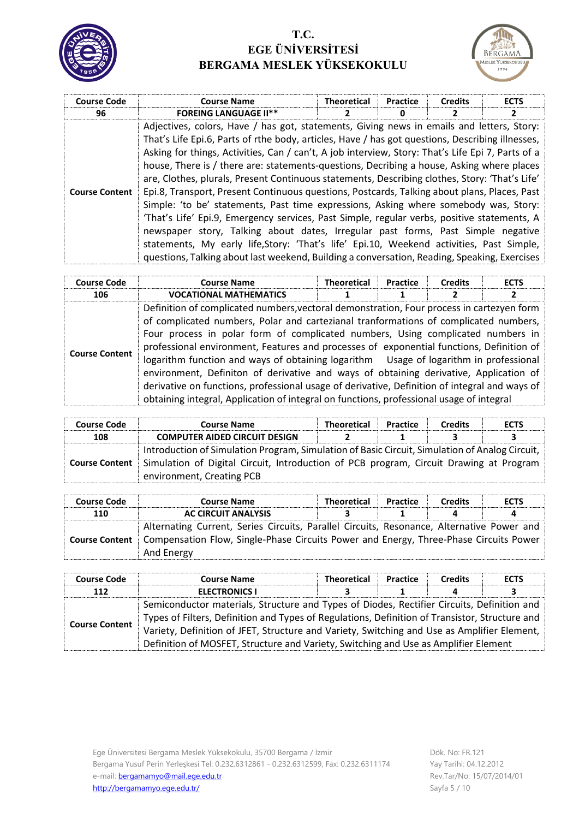



| <b>Course Code</b>    | <b>Course Name</b>                                                                                                                                                                                                                                                                                                                                                                                                                                                                                                                                                                                                                                                                                                                                                                                                                                                                                                                                                                                                                                                       | <b>Theoretical</b> | Practice | <b>Credits</b> | <b>ECTS</b> |
|-----------------------|--------------------------------------------------------------------------------------------------------------------------------------------------------------------------------------------------------------------------------------------------------------------------------------------------------------------------------------------------------------------------------------------------------------------------------------------------------------------------------------------------------------------------------------------------------------------------------------------------------------------------------------------------------------------------------------------------------------------------------------------------------------------------------------------------------------------------------------------------------------------------------------------------------------------------------------------------------------------------------------------------------------------------------------------------------------------------|--------------------|----------|----------------|-------------|
| 96                    | <b>FOREING LANGUAGE II**</b>                                                                                                                                                                                                                                                                                                                                                                                                                                                                                                                                                                                                                                                                                                                                                                                                                                                                                                                                                                                                                                             |                    | 0        |                | 2           |
| <b>Course Content</b> | Adjectives, colors, Have / has got, statements, Giving news in emails and letters, Story:<br>That's Life Epi.6, Parts of rthe body, articles, Have / has got questions, Describing illnesses,<br>Asking for things, Activities, Can / can't, A job interview, Story: That's Life Epi 7, Parts of a<br>house, There is / there are: statements-questions, Decribing a house, Asking where places<br>are, Clothes, plurals, Present Continuous statements, Describing clothes, Story: 'That's Life'<br>Epi.8, Transport, Present Continuous questions, Postcards, Talking about plans, Places, Past<br>Simple: 'to be' statements, Past time expressions, Asking where somebody was, Story:<br>'That's Life' Epi.9, Emergency services, Past Simple, regular verbs, positive statements, A<br>newspaper story, Talking about dates, Irregular past forms, Past Simple negative<br>statements, My early life, Story: 'That's life' Epi.10, Weekend activities, Past Simple,<br>questions, Talking about last weekend, Building a conversation, Reading, Speaking, Exercises |                    |          |                |             |

| <b>Course Code</b>    | <b>Course Name</b>                                                                                                                                                                                                                                                                                                                                                                                                                                                                                                                                                                                                                                                                                                                              | <b>Theoretical</b> | <b>Practice</b> | <b>Credits</b> | <b>ECTS</b> |
|-----------------------|-------------------------------------------------------------------------------------------------------------------------------------------------------------------------------------------------------------------------------------------------------------------------------------------------------------------------------------------------------------------------------------------------------------------------------------------------------------------------------------------------------------------------------------------------------------------------------------------------------------------------------------------------------------------------------------------------------------------------------------------------|--------------------|-----------------|----------------|-------------|
| 106                   | <b>VOCATIONAL MATHEMATICS</b>                                                                                                                                                                                                                                                                                                                                                                                                                                                                                                                                                                                                                                                                                                                   |                    |                 |                |             |
| <b>Course Content</b> | Definition of complicated numbers, vectoral demonstration, Four process in cartezyen form<br>of complicated numbers, Polar and cartezianal tranformations of complicated numbers,<br>Four process in polar form of complicated numbers, Using complicated numbers in<br>professional environment, Features and processes of exponential functions, Definition of<br>logarithm function and ways of obtaining logarithm Usage of logarithm in professional<br>environment, Definiton of derivative and ways of obtaining derivative, Application of<br>derivative on functions, professional usage of derivative, Definition of integral and ways of<br>obtaining integral, Application of integral on functions, professional usage of integral |                    |                 |                |             |

| <b>Course Code</b>    | <b>Course Name</b>                                                                             | <b>Theoretical</b> | <b>Practice</b> | <b>Credits</b> | <b>ECTS</b> |
|-----------------------|------------------------------------------------------------------------------------------------|--------------------|-----------------|----------------|-------------|
| 108                   | <b>COMPUTER AIDED CIRCUIT DESIGN</b>                                                           |                    |                 |                | 3           |
|                       | Introduction of Simulation Program, Simulation of Basic Circuit, Simulation of Analog Circuit, |                    |                 |                |             |
| <b>Course Content</b> | Simulation of Digital Circuit, Introduction of PCB program, Circuit Drawing at Program         |                    |                 |                |             |
|                       | environment, Creating PCB                                                                      |                    |                 |                |             |

| <b>Course Code</b>    | <b>Course Name</b>                                                                        | <b>Theoretical</b> | Practice | <b>Credits</b> | <b>ECTS</b> |
|-----------------------|-------------------------------------------------------------------------------------------|--------------------|----------|----------------|-------------|
| 110                   | <b>AC CIRCUIT ANALYSIS</b>                                                                |                    |          |                | 4           |
|                       | Alternating Current, Series Circuits, Parallel Circuits, Resonance, Alternative Power and |                    |          |                |             |
| <b>Course Content</b> | Compensation Flow, Single-Phase Circuits Power and Energy, Three-Phase Circuits Power     |                    |          |                |             |
|                       | And Energy                                                                                |                    |          |                |             |

| <b>Course Code</b>    | <b>Course Name</b>                                                                             | <b>Theoretical</b> | <b>Practice</b> | <b>Credits</b> | <b>ECTS</b> |  |
|-----------------------|------------------------------------------------------------------------------------------------|--------------------|-----------------|----------------|-------------|--|
| 112                   | <b>ELECTRONICS I</b>                                                                           |                    |                 |                |             |  |
|                       | Semiconductor materials, Structure and Types of Diodes, Rectifier Circuits, Definition and     |                    |                 |                |             |  |
|                       | Types of Filters, Definition and Types of Regulations, Definition of Transistor, Structure and |                    |                 |                |             |  |
| <b>Course Content</b> | Variety, Definition of JFET, Structure and Variety, Switching and Use as Amplifier Element,    |                    |                 |                |             |  |
|                       | Definition of MOSFET, Structure and Variety, Switching and Use as Amplifier Element            |                    |                 |                |             |  |

Ege Üniversitesi Bergama Meslek Yüksekokulu, 35700 Bergama / İzmir Bergama Yusuf Perin Yerleşkesi Tel: 0.232.6312861 - 0.232.6312599, Fax: 0.232.6311174 e-mail: **bergamamyo@mail.ege.edu.tr** <http://bergamamyo.ege.edu.tr/>

Dök. No: FR.121 Yay Tarihi: 04.12.2012 Rev.Tar/No: 15/07/2014/01 Sayfa 5 / 10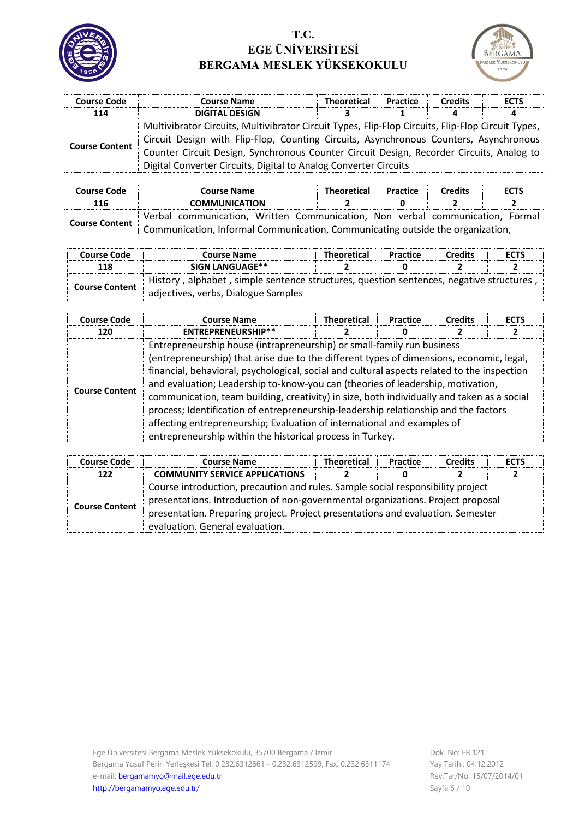



| <b>Course Code</b>    | <b>Course Name</b>                                                                                | <b>Theoretical</b> | Practice | <b>Credits</b> | <b>ECTS</b> |  |
|-----------------------|---------------------------------------------------------------------------------------------------|--------------------|----------|----------------|-------------|--|
| 114                   | <b>DIGITAL DESIGN</b>                                                                             |                    |          | 4              | д           |  |
|                       | Multivibrator Circuits, Multivibrator Circuit Types, Flip-Flop Circuits, Flip-Flop Circuit Types, |                    |          |                |             |  |
| <b>Course Content</b> | Circuit Design with Flip-Flop, Counting Circuits, Asynchronous Counters, Asynchronous             |                    |          |                |             |  |
|                       | Counter Circuit Design, Synchronous Counter Circuit Design, Recorder Circuits, Analog to          |                    |          |                |             |  |
|                       | Digital Converter Circuits, Digital to Analog Converter Circuits                                  |                    |          |                |             |  |

| <b>Course Code</b>    | <b>Course Name</b>                                                             | <b>Theoretical</b> | Practice | <b>Credits</b> | <b>ECTS</b> |  |  |
|-----------------------|--------------------------------------------------------------------------------|--------------------|----------|----------------|-------------|--|--|
| 116                   | <b>COMMUNICATION</b>                                                           |                    |          |                |             |  |  |
| <b>Course Content</b> | Verbal communication, Written Communication, Non verbal communication, Formal  |                    |          |                |             |  |  |
|                       | Communication, Informal Communication, Communicating outside the organization, |                    |          |                |             |  |  |

| <b>Course Code</b>    | <b>Course Name</b>                                                                                                             | <b>Theoretical</b> | <b>Practice</b> | <b>Credits</b> | <b>ECTS</b> |
|-----------------------|--------------------------------------------------------------------------------------------------------------------------------|--------------------|-----------------|----------------|-------------|
| 118                   | SIGN LANGUAGE**                                                                                                                |                    |                 |                |             |
| <b>Course Content</b> | History, alphabet, simple sentence structures, question sentences, negative structures,<br>adjectives, verbs, Dialogue Samples |                    |                 |                |             |

| <b>Course Code</b>    | <b>Course Name</b>                                                                                                                                                                                                                                                                                                                                                                                                                                                                                                                                                                                                                                                                | <b>Theoretical</b> | <b>Practice</b> | <b>Credits</b> | <b>ECTS</b> |
|-----------------------|-----------------------------------------------------------------------------------------------------------------------------------------------------------------------------------------------------------------------------------------------------------------------------------------------------------------------------------------------------------------------------------------------------------------------------------------------------------------------------------------------------------------------------------------------------------------------------------------------------------------------------------------------------------------------------------|--------------------|-----------------|----------------|-------------|
| 120                   | ENTREPRENEURSHIP**                                                                                                                                                                                                                                                                                                                                                                                                                                                                                                                                                                                                                                                                |                    | 0               |                | 2           |
| <b>Course Content</b> | Entrepreneurship house (intrapreneurship) or small-family run business<br>(entrepreneurship) that arise due to the different types of dimensions, economic, legal,<br>financial, behavioral, psychological, social and cultural aspects related to the inspection<br>and evaluation; Leadership to-know-you can (theories of leadership, motivation,<br>communication, team building, creativity) in size, both individually and taken as a social<br>process; Identification of entrepreneurship-leadership relationship and the factors<br>affecting entrepreneurship; Evaluation of international and examples of<br>entrepreneurship within the historical process in Turkey. |                    |                 |                |             |

| <b>Course Code</b>    | <b>Course Name</b>                                                                                                                                                                                                                                                                       | <b>Theoretical</b> | Practice | <b>Credits</b> | <b>ECTS</b> |
|-----------------------|------------------------------------------------------------------------------------------------------------------------------------------------------------------------------------------------------------------------------------------------------------------------------------------|--------------------|----------|----------------|-------------|
| 122                   | <b>COMMUNITY SERVICE APPLICATIONS</b>                                                                                                                                                                                                                                                    |                    | 0        |                | 2           |
| <b>Course Content</b> | Course introduction, precaution and rules. Sample social responsibility project<br>presentations. Introduction of non-governmental organizations. Project proposal<br>presentation. Preparing project. Project presentations and evaluation. Semester<br>evaluation. General evaluation. |                    |          |                |             |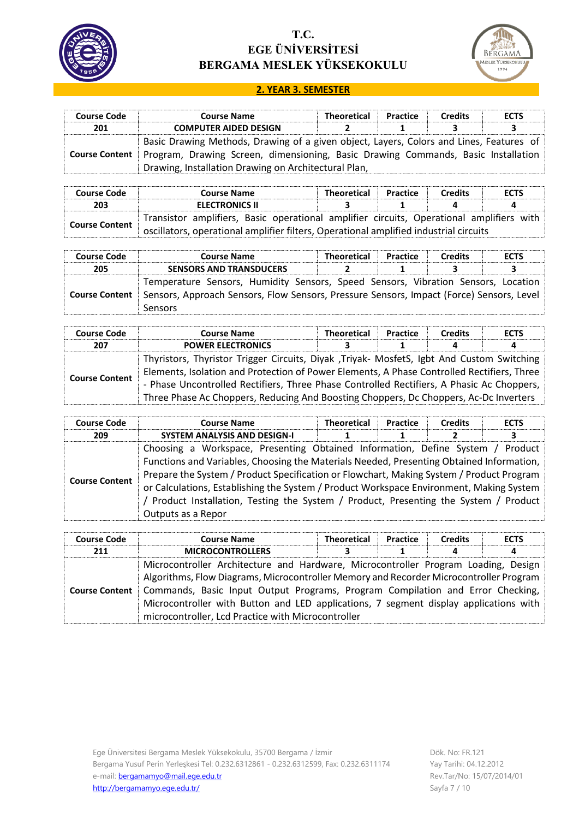



#### **2. YEAR 3. SEMESTER**

| <b>Course Code</b>    | <b>Course Name</b>                                                                | Theoretical                                                                             | <b>Practice</b> | <b>Credits</b> | <b>ECTS</b> |  |  |  |
|-----------------------|-----------------------------------------------------------------------------------|-----------------------------------------------------------------------------------------|-----------------|----------------|-------------|--|--|--|
| 201                   | <b>COMPUTER AIDED DESIGN</b>                                                      |                                                                                         |                 |                |             |  |  |  |
|                       |                                                                                   | Basic Drawing Methods, Drawing of a given object, Layers, Colors and Lines, Features of |                 |                |             |  |  |  |
| <b>Course Content</b> | Program, Drawing Screen, dimensioning, Basic Drawing Commands, Basic Installation |                                                                                         |                 |                |             |  |  |  |
|                       | Drawing, Installation Drawing on Architectural Plan,                              |                                                                                         |                 |                |             |  |  |  |

| <b>Course Code</b>    | <b>Course Name</b>                                                                       | Theoretical | Practice | <b>Credits</b> | <b>ECTS</b> |  |  |
|-----------------------|------------------------------------------------------------------------------------------|-------------|----------|----------------|-------------|--|--|
| 203                   | <b>ELECTRONICS II</b>                                                                    |             |          |                |             |  |  |
|                       | Transistor amplifiers, Basic operational amplifier circuits, Operational amplifiers with |             |          |                |             |  |  |
| <b>Course Content</b> | oscillators, operational amplifier filters, Operational amplified industrial circuits    |             |          |                |             |  |  |

| <b>Course Code</b>    | <b>Course Name</b>                                                                                                                                                            | <b>Theoretical</b> | Practice | <b>Credits</b> | <b>ECTS</b> |
|-----------------------|-------------------------------------------------------------------------------------------------------------------------------------------------------------------------------|--------------------|----------|----------------|-------------|
| 205                   | <b>SENSORS AND TRANSDUCERS</b>                                                                                                                                                |                    |          |                |             |
| <b>Course Content</b> | Temperature Sensors, Humidity Sensors, Speed Sensors, Vibration Sensors, Location<br>Sensors, Approach Sensors, Flow Sensors, Pressure Sensors, Impact (Force) Sensors, Level |                    |          |                |             |
|                       | <b>Sensors</b>                                                                                                                                                                |                    |          |                |             |

| <b>Course Code</b>    | <b>Course Name</b>                                                                         | <b>Theoretical</b> | Practice | <b>Credits</b> | <b>ECTS</b> |  |  |
|-----------------------|--------------------------------------------------------------------------------------------|--------------------|----------|----------------|-------------|--|--|
| 207                   | <b>POWER ELECTRONICS</b>                                                                   |                    |          | 4              | 4           |  |  |
|                       | Thyristors, Thyristor Trigger Circuits, Diyak , Triyak- MosfetS, Igbt And Custom Switching |                    |          |                |             |  |  |
|                       | Elements, Isolation and Protection of Power Elements, A Phase Controlled Rectifiers, Three |                    |          |                |             |  |  |
| <b>Course Content</b> | - Phase Uncontrolled Rectifiers, Three Phase Controlled Rectifiers, A Phasic Ac Choppers,  |                    |          |                |             |  |  |
|                       | Three Phase Ac Choppers, Reducing And Boosting Choppers, Dc Choppers, Ac-Dc Inverters      |                    |          |                |             |  |  |

| <b>Course Code</b>    | <b>Course Name</b>                                                                       | <b>Theoretical</b> | Practice | <b>Credits</b> | <b>ECTS</b> |  |  |
|-----------------------|------------------------------------------------------------------------------------------|--------------------|----------|----------------|-------------|--|--|
| 209                   | <b>SYSTEM ANALYSIS AND DESIGN-I</b>                                                      |                    |          |                |             |  |  |
|                       | Choosing a Workspace, Presenting Obtained Information, Define System / Product           |                    |          |                |             |  |  |
|                       | Functions and Variables, Choosing the Materials Needed, Presenting Obtained Information, |                    |          |                |             |  |  |
| <b>Course Content</b> | Prepare the System / Product Specification or Flowchart, Making System / Product Program |                    |          |                |             |  |  |
|                       | or Calculations, Establishing the System / Product Workspace Environment, Making System  |                    |          |                |             |  |  |
|                       | ' Product Installation, Testing the System / Product, Presenting the System / Product    |                    |          |                |             |  |  |
|                       | Outputs as a Repor                                                                       |                    |          |                |             |  |  |

| <b>Course Code</b>    | <b>Course Name</b>                                                                                                                                                                                                                                                                                                                                                                                            | <b>Theoretical</b> | Practice | <b>Credits</b> | <b>ECTS</b> |
|-----------------------|---------------------------------------------------------------------------------------------------------------------------------------------------------------------------------------------------------------------------------------------------------------------------------------------------------------------------------------------------------------------------------------------------------------|--------------------|----------|----------------|-------------|
| 211                   | <b>MICROCONTROLLERS</b>                                                                                                                                                                                                                                                                                                                                                                                       |                    |          | 4              | 4           |
| <b>Course Content</b> | Microcontroller Architecture and Hardware, Microcontroller Program Loading, Design<br>Algorithms, Flow Diagrams, Microcontroller Memory and Recorder Microcontroller Program<br>Commands, Basic Input Output Programs, Program Compilation and Error Checking,<br>Microcontroller with Button and LED applications, 7 segment display applications with<br>microcontroller, Lcd Practice with Microcontroller |                    |          |                |             |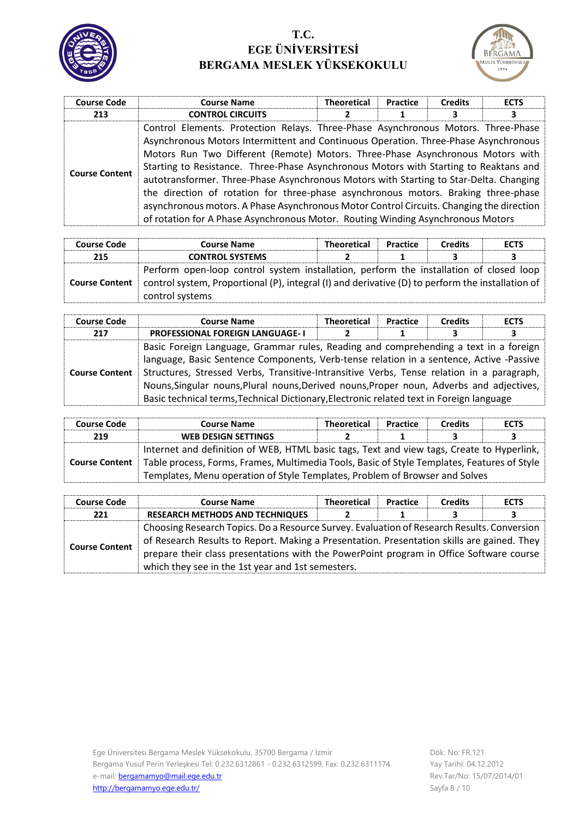



| <b>Course Code</b>    | <b>Course Name</b>                                                                                                                                                                                                                                                                                                                                                                                                                                                                                                                                                                                                                                                                                                 | <b>Theoretical</b> | <b>Practice</b> | <b>Credits</b> | <b>ECTS</b> |
|-----------------------|--------------------------------------------------------------------------------------------------------------------------------------------------------------------------------------------------------------------------------------------------------------------------------------------------------------------------------------------------------------------------------------------------------------------------------------------------------------------------------------------------------------------------------------------------------------------------------------------------------------------------------------------------------------------------------------------------------------------|--------------------|-----------------|----------------|-------------|
| 213                   | <b>CONTROL CIRCUITS</b>                                                                                                                                                                                                                                                                                                                                                                                                                                                                                                                                                                                                                                                                                            |                    |                 |                | 3           |
| <b>Course Content</b> | Control Elements. Protection Relays. Three-Phase Asynchronous Motors. Three-Phase<br>Asynchronous Motors Intermittent and Continuous Operation. Three-Phase Asynchronous<br>Motors Run Two Different (Remote) Motors. Three-Phase Asynchronous Motors with<br>Starting to Resistance. Three-Phase Asynchronous Motors with Starting to Reaktans and<br>autotransformer. Three-Phase Asynchronous Motors with Starting to Star-Delta. Changing<br>the direction of rotation for three-phase asynchronous motors. Braking three-phase<br>asynchronous motors. A Phase Asynchronous Motor Control Circuits. Changing the direction<br>of rotation for A Phase Asynchronous Motor. Routing Winding Asynchronous Motors |                    |                 |                |             |

| <b>Course Code</b>    | <b>Course Name</b>                                                                                                                                                                                            | <b>Theoretical</b> | Practice | <b>Credits</b> | <b>ECTS</b> |
|-----------------------|---------------------------------------------------------------------------------------------------------------------------------------------------------------------------------------------------------------|--------------------|----------|----------------|-------------|
| 215                   | <b>CONTROL SYSTEMS</b>                                                                                                                                                                                        |                    |          |                |             |
| <b>Course Content</b> | Perform open-loop control system installation, perform the installation of closed loop<br>control system, Proportional (P), integral (I) and derivative (D) to perform the installation of<br>control systems |                    |          |                |             |

| <b>Course Code</b>    | <b>Course Name</b>                                                                        | <b>Theoretical</b> | <b>Practice</b> | <b>Credits</b> | <b>ECTS</b> |  |  |
|-----------------------|-------------------------------------------------------------------------------------------|--------------------|-----------------|----------------|-------------|--|--|
| 217                   | <b>PROFESSIONAL FOREIGN LANGUAGE-1</b>                                                    |                    |                 |                | 3           |  |  |
|                       | Basic Foreign Language, Grammar rules, Reading and comprehending a text in a foreign      |                    |                 |                |             |  |  |
|                       | language, Basic Sentence Components, Verb-tense relation in a sentence, Active -Passive   |                    |                 |                |             |  |  |
| <b>Course Content</b> | Structures, Stressed Verbs, Transitive-Intransitive Verbs, Tense relation in a paragraph, |                    |                 |                |             |  |  |
|                       | Nouns, Singular nouns, Plural nouns, Derived nouns, Proper noun, Adverbs and adjectives,  |                    |                 |                |             |  |  |
|                       | Basic technical terms, Technical Dictionary, Electronic related text in Foreign language  |                    |                 |                |             |  |  |

| <b>Course Code</b>    | <b>Course Name</b>                                                                        | <b>Theoretical</b>                                                                          | <b>Practice</b> | <b>Credits</b> | <b>ECTS</b> |  |
|-----------------------|-------------------------------------------------------------------------------------------|---------------------------------------------------------------------------------------------|-----------------|----------------|-------------|--|
| 219                   | <b>WEB DESIGN SETTINGS</b>                                                                |                                                                                             |                 |                | з.          |  |
|                       | Internet and definition of WEB, HTML basic tags, Text and view tags, Create to Hyperlink, |                                                                                             |                 |                |             |  |
| <b>Course Content</b> |                                                                                           | Table process, Forms, Frames, Multimedia Tools, Basic of Style Templates, Features of Style |                 |                |             |  |
|                       | Templates, Menu operation of Style Templates, Problem of Browser and Solves               |                                                                                             |                 |                |             |  |

| <b>Course Code</b>    | <b>Course Name</b>                                                                                                                                                                       | <b>Theoretical</b> | Practice | <b>Credits</b> | <b>ECTS</b> |  |
|-----------------------|------------------------------------------------------------------------------------------------------------------------------------------------------------------------------------------|--------------------|----------|----------------|-------------|--|
| 221                   | <b>RESEARCH METHODS AND TECHNIQUES</b>                                                                                                                                                   |                    |          |                |             |  |
| <b>Course Content</b> | Choosing Research Topics. Do a Resource Survey. Evaluation of Research Results. Conversion<br>of Research Results to Report. Making a Presentation. Presentation skills are gained. They |                    |          |                |             |  |
|                       | prepare their class presentations with the PowerPoint program in Office Software course<br>which they see in the 1st year and 1st semesters.                                             |                    |          |                |             |  |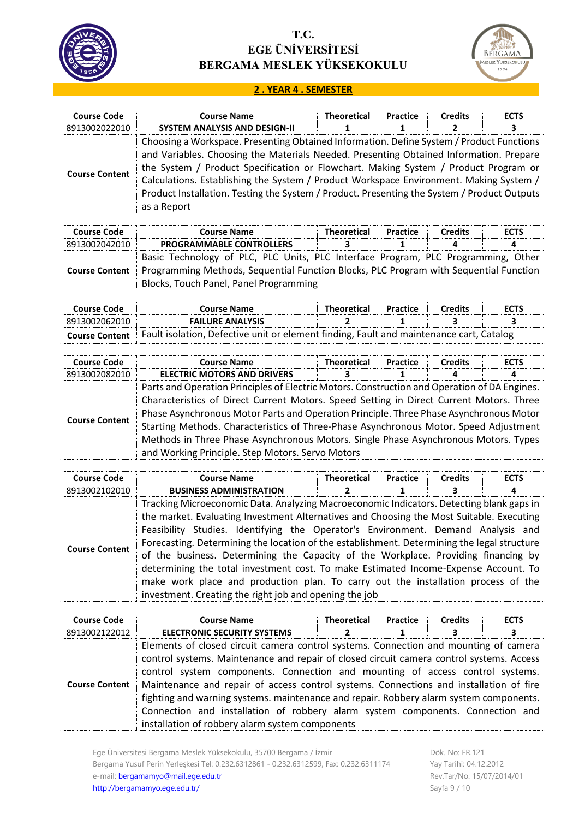



#### **2 . YEAR 4 . SEMESTER**

| <b>Course Code</b>    | <b>Course Name</b>                                                                                                                                                                                                                                                                                                                                                                                                                                                                | <b>Theoretical</b> | Practice | <b>Credits</b> | <b>ECTS</b> |
|-----------------------|-----------------------------------------------------------------------------------------------------------------------------------------------------------------------------------------------------------------------------------------------------------------------------------------------------------------------------------------------------------------------------------------------------------------------------------------------------------------------------------|--------------------|----------|----------------|-------------|
| 8913002022010         | <b>SYSTEM ANALYSIS AND DESIGN-II</b>                                                                                                                                                                                                                                                                                                                                                                                                                                              |                    |          | $\mathbf{z}$   | 3           |
| <b>Course Content</b> | Choosing a Workspace. Presenting Obtained Information. Define System / Product Functions<br>and Variables. Choosing the Materials Needed. Presenting Obtained Information. Prepare<br>the System / Product Specification or Flowchart. Making System / Product Program or<br>Calculations. Establishing the System / Product Workspace Environment. Making System /<br>Product Installation. Testing the System / Product. Presenting the System / Product Outputs<br>as a Report |                    |          |                |             |

| <b>Course Code</b>    | <b>Course Name</b>                                                                                                                                                                                                   | <b>Theoretical</b> | <b>Practice</b> | <b>Credits</b> | <b>ECTS</b> |
|-----------------------|----------------------------------------------------------------------------------------------------------------------------------------------------------------------------------------------------------------------|--------------------|-----------------|----------------|-------------|
| 8913002042010         | <b>PROGRAMMABLE CONTROLLERS</b>                                                                                                                                                                                      |                    |                 |                |             |
| <b>Course Content</b> | Basic Technology of PLC, PLC Units, PLC Interface Program, PLC Programming, Other<br>Programming Methods, Sequential Function Blocks, PLC Program with Sequential Function<br>Blocks, Touch Panel, Panel Programming |                    |                 |                |             |

| Course Code           | Course Name             | <b>Theoretical</b>                                                                      | <b>Practice</b> | <b>Credits</b> | <b>ECTS</b> |  |
|-----------------------|-------------------------|-----------------------------------------------------------------------------------------|-----------------|----------------|-------------|--|
| 8913002062010         | <b>FAILURE ANALYSIS</b> |                                                                                         |                 |                |             |  |
| <b>Course Content</b> |                         | Fault isolation, Defective unit or element finding, Fault and maintenance cart, Catalog |                 |                |             |  |

| <b>Course Code</b>    | <b>Course Name</b>                                                                           | <b>Theoretical</b>                                                                    | Practice | <b>Credits</b> | <b>ECTS</b> |  |  |
|-----------------------|----------------------------------------------------------------------------------------------|---------------------------------------------------------------------------------------|----------|----------------|-------------|--|--|
| 8913002082010         | <b>ELECTRIC MOTORS AND DRIVERS</b>                                                           |                                                                                       |          | 4              | 4           |  |  |
|                       | Parts and Operation Principles of Electric Motors. Construction and Operation of DA Engines. |                                                                                       |          |                |             |  |  |
|                       | Characteristics of Direct Current Motors. Speed Setting in Direct Current Motors. Three      |                                                                                       |          |                |             |  |  |
| <b>Course Content</b> | Phase Asynchronous Motor Parts and Operation Principle. Three Phase Asynchronous Motor       |                                                                                       |          |                |             |  |  |
|                       |                                                                                              | Starting Methods. Characteristics of Three-Phase Asynchronous Motor. Speed Adjustment |          |                |             |  |  |
|                       | Methods in Three Phase Asynchronous Motors. Single Phase Asynchronous Motors. Types          |                                                                                       |          |                |             |  |  |
|                       | and Working Principle. Step Motors. Servo Motors                                             |                                                                                       |          |                |             |  |  |

| <b>Course Code</b>    | <b>Course Name</b>                                                                                                                                                                                                                                                                                                                                                                                                                                                                                                                                                                                                                                                                                  | <b>Theoretical</b> | Practice | <b>Credits</b> | <b>ECTS</b> |
|-----------------------|-----------------------------------------------------------------------------------------------------------------------------------------------------------------------------------------------------------------------------------------------------------------------------------------------------------------------------------------------------------------------------------------------------------------------------------------------------------------------------------------------------------------------------------------------------------------------------------------------------------------------------------------------------------------------------------------------------|--------------------|----------|----------------|-------------|
| 8913002102010         | <b>BUSINESS ADMINISTRATION</b>                                                                                                                                                                                                                                                                                                                                                                                                                                                                                                                                                                                                                                                                      |                    |          |                | 4           |
| <b>Course Content</b> | Tracking Microeconomic Data. Analyzing Macroeconomic Indicators. Detecting blank gaps in<br>the market. Evaluating Investment Alternatives and Choosing the Most Suitable. Executing<br>Feasibility Studies. Identifying the Operator's Environment. Demand Analysis and<br>Forecasting. Determining the location of the establishment. Determining the legal structure<br>of the business. Determining the Capacity of the Workplace. Providing financing by<br>determining the total investment cost. To make Estimated Income-Expense Account. To<br>make work place and production plan. To carry out the installation process of the<br>investment. Creating the right job and opening the job |                    |          |                |             |

| <b>Course Code</b>    | <b>Course Name</b>                                                                                                                                                                                                                                                                                                                                                                                                                                                                                                                                                                         | <b>Theoretical</b> | Practice | <b>Credits</b> | <b>ECTS</b> |
|-----------------------|--------------------------------------------------------------------------------------------------------------------------------------------------------------------------------------------------------------------------------------------------------------------------------------------------------------------------------------------------------------------------------------------------------------------------------------------------------------------------------------------------------------------------------------------------------------------------------------------|--------------------|----------|----------------|-------------|
| 8913002122012         | <b>ELECTRONIC SECURITY SYSTEMS</b>                                                                                                                                                                                                                                                                                                                                                                                                                                                                                                                                                         |                    |          |                | 3           |
| <b>Course Content</b> | Elements of closed circuit camera control systems. Connection and mounting of camera<br>control systems. Maintenance and repair of closed circuit camera control systems. Access<br>control system components. Connection and mounting of access control systems.<br>Maintenance and repair of access control systems. Connections and installation of fire<br>fighting and warning systems. maintenance and repair. Robbery alarm system components.<br>Connection and installation of robbery alarm system components. Connection and<br>installation of robbery alarm system components |                    |          |                |             |

Ege Üniversitesi Bergama Meslek Yüksekokulu, 35700 Bergama / İzmir Bergama Yusuf Perin Yerleşkesi Tel: 0.232.6312861 - 0.232.6312599, Fax: 0.232.6311174 e-mail: **bergamamyo@mail.ege.edu.tr** <http://bergamamyo.ege.edu.tr/>

Dök. No: FR.121 Yay Tarihi: 04.12.2012 Rev.Tar/No: 15/07/2014/01 Sayfa 9 / 10